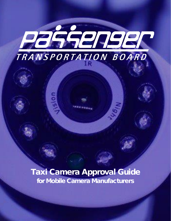# **JARDER** TRANSPORTATION BOARD

Taxi Camera Approval Guide for Mobile Camera Manufacturers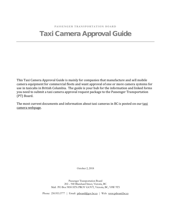# Taxi Camera Approval Guide

This Taxi Camera Approval Guide is mainly for companies that manufacture and sell mobile camera equipment for commercial fleets and want approval of one or more camera systems for use in taxicabs in British Columbia. The guide is your hub for the information and linked forms you need to submit a taxi camera approval request package to the Passenger Transportation (PT) Board.

The most current documents and information about [taxi](http://www.ptboard.bc.ca/cameras.htm) cameras in BC is posted on our taxi [camera webpage.](http://www.ptboard.bc.ca/cameras.htm)

October 2, 2018

Passenger Transportation Board 202 – 940 Blanshard Street, Victoria, BC Mail: PO Box 9850 STN PROV GOVT, Victoria, BC, V8W 9T5

Phone: 250.953.3777 | Email: [ptboard@gov.bc.ca](mailto:ptboard@gov.bc.ca) | Web: [www.ptboard.bc.ca](http://www.ptboard.bc.ca/)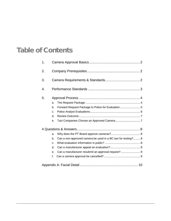# Table of Contents

| 1. |                                                                     |  |  |
|----|---------------------------------------------------------------------|--|--|
| 2. |                                                                     |  |  |
| 3. |                                                                     |  |  |
| 4. |                                                                     |  |  |
| 5. |                                                                     |  |  |
|    | a.                                                                  |  |  |
|    | Forward Request Package to Police for Evaluation  5<br>b.           |  |  |
|    | C.                                                                  |  |  |
|    | d.                                                                  |  |  |
|    | е.                                                                  |  |  |
|    |                                                                     |  |  |
|    | a.                                                                  |  |  |
|    | Can a non-approved camera be used in a BC taxi for testing? 8<br>b. |  |  |
|    | C.                                                                  |  |  |
|    | d.                                                                  |  |  |
|    | Can a manufacturer resubmit an approval request?  9<br>e.           |  |  |
|    | f.                                                                  |  |  |
|    |                                                                     |  |  |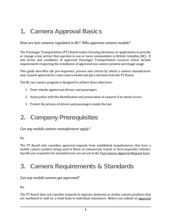# <span id="page-3-0"></span>1. Camera Approval Basics

#### *How are taxi cameras regulated in BC? Who approves camera models?*

The Passenger Transportation (PT) Board makes licensing decisions on applications to provide or change a taxi service that operates in one or more communities in British Columbia (BC). It sets terms and conditions of approved Passenger Transportation Licences which include requirements respecting the installation of approved taxi camera systems and image-usage.

This guide describes the pre-requisites, process and criteria by which a camera manufacturer may request approval for a taxi camera model and get a decision from the PT Board.

The BC taxi camera program is designed to achieve three objectives:

- 1. Deter attacks against taxi drivers and passengers
- 2. Assist police with the identification and prosecution of suspects if an attack occurs
- 3. Protect the privacy of drivers and passengers inside the taxi.

# <span id="page-3-1"></span>2. Company Prerequisites

#### *Can any mobile camera manufacturer apply?*

No.

The PT Board only considers approval requests from established manufacturers that have a mobile camera product being used in fleets of commercial, transit or first-responder vehicles. Specific pre-requisites for manufacturers are set out in the **Taxi Camera Approval Request form.** 

# <span id="page-3-2"></span>3. Camera Requirements & Standards

#### *Can any mobile camera get approved?*

No.

The PT Board does not consider requests to approve *dashcams* or similar camera products that are marketed or sold on a retail basis to individual consumers. Before you submit an [approval](http://www.th.gov.bc.ca/forms/getForm.aspx?formId=1420)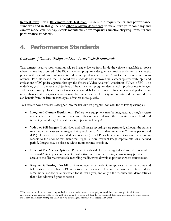[Request form—](http://www.th.gov.bc.ca/forms/getForm.aspx?formId=1420)or a [BC camera field test plan—](http://www.th.gov.bc.ca/forms/getForm.aspx?formId=1422)review the requirements and performance standards and in this guide and [other program documents](http://www.ptboard.bc.ca/cameras.htm) to make sure your company and camera model can meet applicable manufacturer pre-requisites, functionality requirements and performance standards.

## <span id="page-4-0"></span>4. Performance Standards

#### *Overview of Camera Design and Standards, Tests & Approvals*

Taxi cameras need to work continuously so image evidence from inside the vehicle is available to police when a crime has occurred. The BC taxi camera program is designed to provide evidence that can assist police in the identification of suspects and be accepted as evidence in Court for the prosecution on an offence. For this reason, the PT Board sets standards and approves taxi camera systems with input and evaluations of BC police agencies through the Forensic Video Analysts' Association (FVAA) of BC. The underlying goal is to meet the objectives of the taxi camera program: deter attacks, produce useful images and protect privacy. Evaluations of new camera models focus mainly on functionality and performance rather than specific designs so camera manufacturers have the flexibility to innovate and the taxi industry can benefit from the latest technological advances more quickly.

To illustrate how flexibility is designed into the taxi camera program, consider the following examples:

- **Integrated Camera Equipment** Taxi camera equipment may be integrated as a single system (camera head and recording medium). This is preferred over the separate camera head and recording unit design that was the only option until early 2018.
- **Video or Still Images** Both video and still-image recordings are permitted, although the camera must record at least some images during each person's trip that are at least 2 frames per second (FPS). Images that are recorded continuously (e.g. 2 FPS or faster) do not require the wiring of sensors to the door or taxi meter that trigger a more frequent image capture rate for a defined period. Images may be black & white, monochrome or colour.
- **Efficient File Access Options** Provided that digital files are encrypted and any other needed safeguards<sup>[1](#page-4-1)</sup> are in place to prevent unauthorized access or tampering, a camera may provide access to the files via removable recording media, wired download port or wireless transmission.
- **Request & Testing Flexibility** A manufacturer can submit an approval request any time and field tests can take place in BC or outside the province. However, evaluations are final and the same model cannot be re-evaluated for at least a year, and only if the manufacturer demonstrates that it has addressed prior concerns.

 $\overline{a}$ 

<span id="page-4-1"></span><sup>1</sup> The camera should incorporate safeguards that prevent a data access or integrity vulnerability. For example, in addition to encryption, image viewing software should be protected by a password, hasp key or restricted distribution sufficient to block persons other than police from having the ability to view or use digital files that were recorded in a taxi.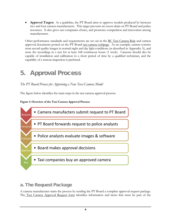• **Approval Targets** As a guideline, the PT Board aims to approve models produced by between two and four camera manufacturers. This target prevents an excess drain on PT Board and police resources. It also gives taxi companies choice, and promotes competition and innovation among manufacturers.

Other performance standards and requirements are set out in the [BC Taxi Camera Rule](http://www.ptboard.bc.ca/documents/rule_BC_Taxi_Camera.pdf) and camera approval documents posted on the PT Board [taxi camera webpage.](http://www.ptboard.bc.ca/cameras.htm) As an example, camera systems must record quality images in normal night and day light conditions (as described in Appendix A), and store the recordings in a taxi for at least 168 continuous hours (1 week). Cameras should also be capable of installation and calibration in a short period of time by a qualified technician, and the capability of a remote inspection is preferred.

## <span id="page-5-0"></span>5. Approval Process

#### *The PT Board Process for Approving a New Taxi Camera Model*

The figure below identifies the main steps in the taxi camera approval process.

#### **Figure 1: Overview of the Taxi Camera Approval Process**



## <span id="page-5-1"></span>a. The Request Package

A camera manufacturer starts the process by sending the PT Board a complete approval request package. The [Taxi Camera Approval Request form](http://www.th.gov.bc.ca/forms/getForm.aspx?formId=1420) identifies information and items that must be part of the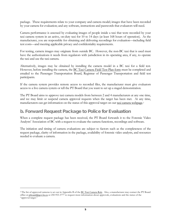package. These requirements relate to your company and camera model; images that have been recorded by your camera for evaluation; and any software, instructions and passwords that evaluators will need.

Camera performance is assessed by evaluating images of people inside a taxi that were recorded by your taxi camera system in an active, on-duty taxi for 10 to 14 days (at least 168 hours of operation). As the manufacturer, you are responsible for obtaining and delivering recordings for evaluation—including field test costs—and meeting applicable privacy and confidentiality requirements.

For testing, camera images may originate from outside BC. However, the non-BC taxi that is used must have the authorizations it needs from regulators with jurisdiction in its operating area, if any, to operate the taxi and use the taxi camera.

Alternatively, images may be obtained by installing the camera model in a BC taxi for a field test. However, before installing the camera, the [BC Taxi Camera Field Test Plan](http://www.th.gov.bc.ca/forms/getForm.aspx?formId=1422) form must be completed and emailed to the Passenger Transportation Board, Registrar of Passenger Transportation and field test participants.

If the camera system provides remote access to recorded files, the manufacturer must give evaluators access to a live camera system or tell the PT Board that you want to set up a staged demonstration.

The PT Board aims to approve taxi camera models from between 2 and 4 manufacturers at any one time, and we may limit or suspend camera approval requests when the target has been met. At any time, manufacturers can get information on the status of this approval target on our [taxi camera webpage.](http://www.ptboard.bc.ca/cameras.htm)<sup>[2](#page-6-1)</sup>

#### <span id="page-6-0"></span>b. Forward Request Package to Police for Evaluation

When a complete request package has been received, the PT Board forwards it to the Forensic Video Analysts' Association of BC with a request to evaluate the camera functions, recordings and software.

The initiation and timing of camera evaluations are subject to factors such as the completeness of the request package, clarity of information in the package, availability of forensic video analysts, and resources needed to evaluate a camera.

 $\overline{a}$ 

<span id="page-6-1"></span><sup>&</sup>lt;sup>2</sup> The list of approved cameras is set out in Appendix B of the [BC Taxi Camera Rule.](http://www.ptboard.bc.ca/documents/rule_BC_Taxi_Camera.pdf) Also, a manufacturer may contact the PT Board office a[t ptboard@gov.bc.ca](mailto:ptboard@gov.bc.ca) or 250-953-3777 to request more information about approvals, evaluations and the status of the "approval target."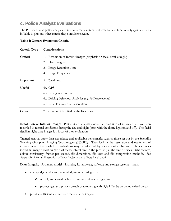## <span id="page-7-0"></span>c. Police Analyst Evaluations

The PT Board asks police analysts to review camera system performance and functionality against criteria in Table 1, plus any other criteria they consider relevant.

| Criteria Type | Considerations                                                           |
|---------------|--------------------------------------------------------------------------|
| Critical      | Resolution of Interior Images (emphasis on facial detail at night)<br>1. |
|               | Data Integrity<br>2.                                                     |
|               | Image Retention Time<br>3.                                               |
|               | Image Frequency<br>4.                                                    |
| Important     | Workflow<br>5.                                                           |
| <b>Useful</b> | 6a. GPS                                                                  |
|               | 6b. Emergency Button                                                     |
|               | 6c. Driving Behaviour Analytics (e.g. G-Force events)                    |
|               | 6d. Reliable Colour Representation                                       |
| Other         | Criterion identified by the Evaluator<br>7.                              |

#### **Table 1: Camera Evaluation Criteria**

**Resolution of Interior Images** Police video analysts assess the resolution of images that have been recorded in normal conditions during the day and night (both with the dome light on and off). The facial detail in night-time images is a focus of their evaluation.

Trained analysts apply their experience and applicable benchmarks such us those set out by the Scientific Working Group on Imaging Technologies (SWGIT). They look at the resolution and usefulness of images collected as a whole. Evaluations may be informed by a variety of visible and technical issues including image distortion (field of view), object size in the picture (i.e. the size of faces), light sources, colour consistency, frames per second, file dimensions, file sizes and file compression methods. See Appendix A for an illustration of how "object size" affects facial detail.

**Data Integrity** A camera model—including its hardware, software and storage systems—must:

- encrypt digital files and, as needed, use other safeguards:
	- o so only authorized police can access and view images, and
	- o protect against a privacy breach or tampering with digital files by an unauthorized person
- provide sufficient and accurate metadata for images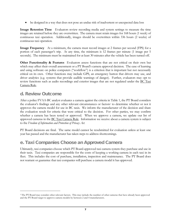• be designed in a way that does not pose an undue risk of inadvertent or unexpected data loss

**Image Retention Time** Evaluators review recording media and system settings to measure the time images are retained before they are overwritten. The camera must retain images for 168 hours (1 week) of continuous taxi operation. Additionally, images should be overwritten within 336 hours (2 weeks) of continuous taxi operation.

**Image Frequency** At a minimum, the camera must record images at 2 frames per second (FPS) for a portion of each passenger's trip. At any time, the minimum is 12 frames per minute (1 image per 5 seconds). The minimum must be maintained for at least 30 minutes after the vehicle has been turned off.

**Other Functionality & Features** Evaluators assess functions that are not critical on their own but which may affect their overall assessment or a PT Board's camera approval decision. The ease of learning and using software on police computers ("workflow") is a criterion that is important but not necessarily critical on its own. Other functions may include GPS, an emergency button that drivers may use, and driver analytics (e.g. systems that provide audible warnings of danger). Further, evaluators may opt to review functions such as audio recordings and exterior images that are not regulated under the [BC Taxi](http://www.ptboard.bc.ca/documents/rule_BC_Taxi_Camera.pdf)  [Camera Rule.](http://www.ptboard.bc.ca/documents/rule_BC_Taxi_Camera.pdf)

#### <span id="page-8-0"></span>d. Review Outcome

 $\overline{a}$ 

After a police FVAA-BC analyst evaluates a camera against the criteria in Table 1, the PT Board considers the evaluator's findings and any other relevant circumstances or factors<sup>3</sup> to determine whether or not it approves the camera model for use in BC taxis. We inform the manufacturer of the decision and share the evaluation result for criteria that were critical to the decision. For other parties, we may confirm whether a camera has been tested or approved. When we approve a camera, we update our list of approved cameras in the [BC Taxi Camera Rule.](http://www.ptboard.bc.ca/documents/rule_BC_Taxi_Camera.pdf) Information we receive about a camera system is subject to the *Freedom of Information and Protection of Privacy Act*.

PT Board decisions are final. The same model cannot be resubmitted for evaluation unless at least one year has passed and the manufacturer has taken steps to address shortcomings.

## <span id="page-8-1"></span>e. Taxi Companies Choose an Approved Camera

Ultimately, taxi companies choose which PT Board-approved taxi camera system they purchase and use in their taxis. Taxi companies are responsible for the costs of keeping a working camera in each taxi in its fleet. This includes the cost of purchase, installation, inspection and maintenance. The PT Board does not warrant or guarantee that taxi companies will purchase a camera model it has approved.

<span id="page-8-2"></span><sup>3</sup> The PT Board may consider other relevant factors. This may include the number of other cameras that have already been approved and the PT Board target to approve camera models by between 2 and 4 manufacturers.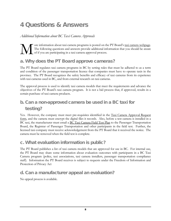# <span id="page-9-0"></span>4 Questions & Answers

*Additional Information about BC Taxi Camera Approvals*

ore information about taxi camera programs is posted on the PT Board's [taxi camera webpage.](http://www.ptboard.bc.ca/cameras.htm) The following questions and answers provide additional information that you should be aware of if you are participating in a taxi camera approval process. M

## <span id="page-9-1"></span>a. Why does the PT Board approve cameras?

The PT Board regulates taxi camera programs in BC by setting rules that must be adhered to as a term and condition of the passenger transportation licence that companies must have to operate taxis in the province. The PT Board recognizes the safety benefits and efficacy of taxi cameras from its experience with taxi cameras used in BC, and from external research on taxi cameras.

The approval process is used to identify taxi camera models that meet the requirements and advance the objectives of the PT Board's taxi camera program. It is not a bid process that, if approved, results in a certain purchase of taxi camera products.

## <span id="page-9-2"></span>b. Can a non-approved camera be used in a BC taxi for testing?

Yes. However, the company must meet pre-requisites identified in the Taxi Camera Approval Request [form,](http://www.th.gov.bc.ca/forms/getForm.aspx?formId=1420) and the camera must encrypt the digital files it records. Also, before a test camera is installed in a BC taxi, the manufacturer must email a [BC Taxi Camera Field Test Plan](http://www.th.gov.bc.ca/forms/getForm.aspx?formId=1422) to the Passenger Transportation Board, the Registrar of Passenger Transportation and other participants in the field test. Further, the licensed taxi company must receive acknowledgement from the PT Board that it received the notice. The camera must be removed when the field test is complete.

#### <span id="page-9-3"></span>c. What evaluation information is public?

The PT Board publishes a list of taxi camera models that are approved for use in BC. For internal use, the PT Board may share some information about evaluation outcomes with participants in a BC Taxi Camera program (police, taxi associations, taxi camera installers, passenger transportation compliance staff). Information the PT Board receives is subject to requests under the Freedom of Information and Protection of Privacy Act

## <span id="page-9-4"></span>d. Can a manufacturer appeal an evaluation?

No appeal process is available.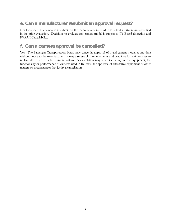## <span id="page-10-0"></span>e. Can a manufacturer resubmit an approval request?

Not for a year. If a camera is re-submitted, the manufacturer must address critical shortcomings identified in the prior evaluation. Decisions to evaluate any camera model is subject to PT Board discretion and FVAA-BC availability.

#### <span id="page-10-1"></span>f. Can a camera approval be cancelled?

Yes. The Passenger Transportation Board may cancel its approval of a taxi camera model at any time without notice to the manufacturer. It may also establish requirements and deadlines for taxi licensees to replace all or part of a taxi camera system. A cancelation may relate to the age of the equipment, the functionality or performance of cameras used in BC taxis, the approval of alternative equipment or other matters or circumstances that justify a cancellation.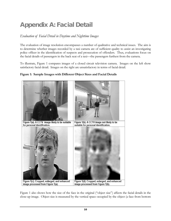# <span id="page-11-0"></span>Appendix A: Facial Detail

#### *Evaluation of Facial Detail in Daytime and Nighttime Images*

The evaluation of image resolution encompasses a number of qualitative and technical issues. The aim is to determine whether images recorded by a taxi camera are of sufficient quality to assist an investigating police officer in the identification of suspects and prosecution of offenders. Thus, evaluations focus on the facial details of passengers in the back seat of a taxi—the passengers furthest from the camera.

To illustrate, Figure 1 compares images of a closed circuit television camera. Images on the left show satisfactory facial detail. Images on the right are unsatisfactory in terms of facial detail.



Figure 1(c). Cropped, enlarged, and enhanced

image processed from Figure 1(a).

#### **Figure 1: Sample Images with Different Object Sizes and Facial Details**

Figure 1 also shows how the size of the face in the original ("object size") affects the facial details in the close-up image. Object size is measured by the vertical space occupied by the object (a face from bottom

Figure 1(d). Cropped, enlarged, and enhanced

image processed from Figure 1(b).